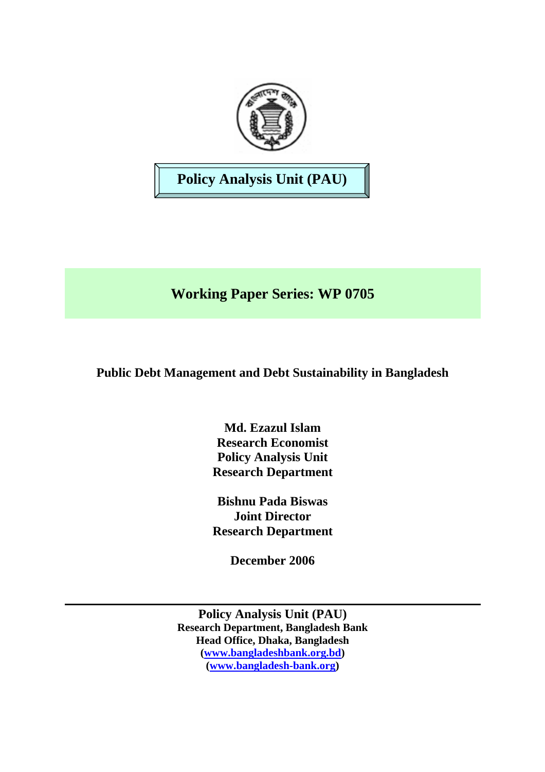

# **Policy Analysis Unit (PAU)**

# **Working Paper Series: WP 0705**

# **Public Debt Management and Debt Sustainability in Bangladesh**

**Md. Ezazul Islam Research Economist Policy Analysis Unit Research Department** 

**Bishnu Pada Biswas Joint Director Research Department** 

**December 2006** 

**Policy Analysis Unit (PAU) Research Department, Bangladesh Bank Head Office, Dhaka, Bangladesh ([www.bangladeshbank.org.bd](http://www.bangladeshbank.org.bd/)) ([www.bangladesh-bank.org](http://www.bangladesh-bank.org/))**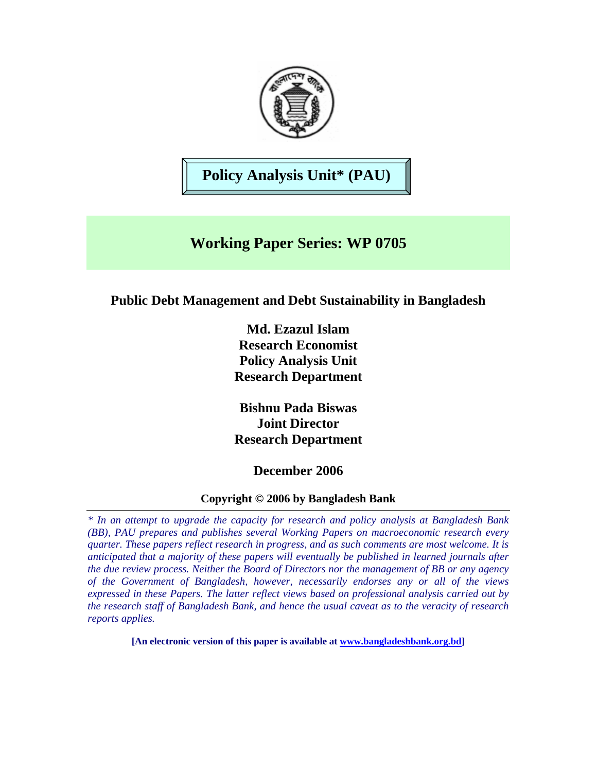

**Policy Analysis Unit\* (PAU)** 

# **Working Paper Series: WP 0705**

## **Public Debt Management and Debt Sustainability in Bangladesh**

**Md. Ezazul Islam Research Economist Policy Analysis Unit Research Department** 

**Bishnu Pada Biswas Joint Director Research Department** 

## **December 2006**

### **Copyright © 2006 by Bangladesh Bank**

*\* In an attempt to upgrade the capacity for research and policy analysis at Bangladesh Bank (BB), PAU prepares and publishes several Working Papers on macroeconomic research every quarter. These papers reflect research in progress, and as such comments are most welcome. It is anticipated that a majority of these papers will eventually be published in learned journals after the due review process. Neither the Board of Directors nor the management of BB or any agency of the Government of Bangladesh, however, necessarily endorses any or all of the views expressed in these Papers. The latter reflect views based on professional analysis carried out by the research staff of Bangladesh Bank, and hence the usual caveat as to the veracity of research reports applies.* 

**[An electronic version of this paper is available at [www.bangladeshbank.org.bd](http://www.bangladeshbank.org.bd/research/pau.html)]**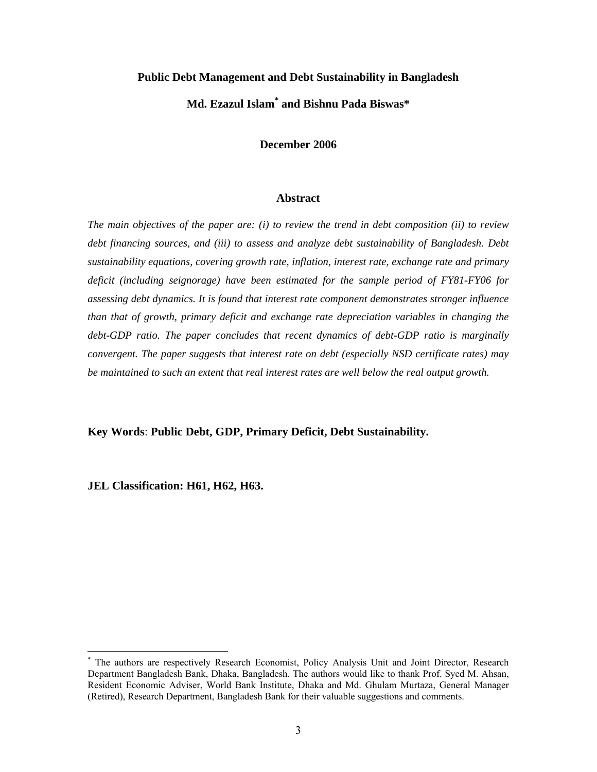#### **Public Debt Management and Debt Sustainability in Bangladesh**

## **Md. Ezazul Isla[m\\*](#page-2-0) and Bishnu Pada Biswas\***

**December 2006** 

#### **Abstract**

*The main objectives of the paper are: (i) to review the trend in debt composition (ii) to review debt financing sources, and (iii) to assess and analyze debt sustainability of Bangladesh. Debt sustainability equations, covering growth rate, inflation, interest rate, exchange rate and primary deficit (including seignorage) have been estimated for the sample period of FY81-FY06 for assessing debt dynamics. It is found that interest rate component demonstrates stronger influence than that of growth, primary deficit and exchange rate depreciation variables in changing the debt-GDP ratio. The paper concludes that recent dynamics of debt-GDP ratio is marginally convergent. The paper suggests that interest rate on debt (especially NSD certificate rates) may be maintained to such an extent that real interest rates are well below the real output growth.* 

**Key Words**: **Public Debt, GDP, Primary Deficit, Debt Sustainability.**

**JEL Classification: H61, H62, H63.** 

 $\overline{a}$ 

<span id="page-2-0"></span><sup>\*</sup> The authors are respectively Research Economist, Policy Analysis Unit and Joint Director, Research Department Bangladesh Bank, Dhaka, Bangladesh. The authors would like to thank Prof. Syed M. Ahsan, Resident Economic Adviser, World Bank Institute, Dhaka and Md. Ghulam Murtaza, General Manager (Retired), Research Department, Bangladesh Bank for their valuable suggestions and comments.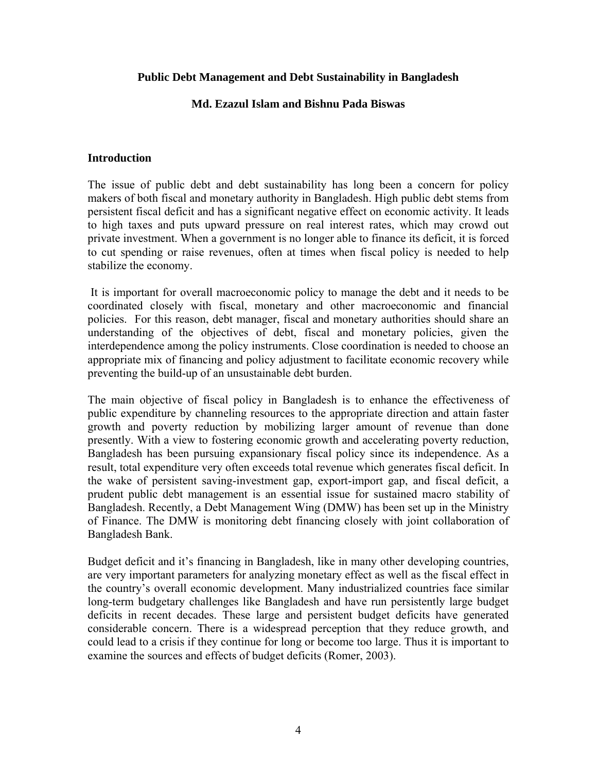### **Public Debt Management and Debt Sustainability in Bangladesh**

### **Md. Ezazul Islam and Bishnu Pada Biswas**

### **Introduction**

The issue of public debt and debt sustainability has long been a concern for policy makers of both fiscal and monetary authority in Bangladesh. High public debt stems from persistent fiscal deficit and has a significant negative effect on economic activity. It leads to high taxes and puts upward pressure on real interest rates, which may crowd out private investment. When a government is no longer able to finance its deficit, it is forced to cut spending or raise revenues, often at times when fiscal policy is needed to help stabilize the economy.

It is important for overall macroeconomic policy to manage the debt and it needs to be coordinated closely with fiscal, monetary and other macroeconomic and financial policies. For this reason, debt manager, fiscal and monetary authorities should share an understanding of the objectives of debt, fiscal and monetary policies, given the interdependence among the policy instruments. Close coordination is needed to choose an appropriate mix of financing and policy adjustment to facilitate economic recovery while preventing the build-up of an unsustainable debt burden.

The main objective of fiscal policy in Bangladesh is to enhance the effectiveness of public expenditure by channeling resources to the appropriate direction and attain faster growth and poverty reduction by mobilizing larger amount of revenue than done presently. With a view to fostering economic growth and accelerating poverty reduction, Bangladesh has been pursuing expansionary fiscal policy since its independence. As a result, total expenditure very often exceeds total revenue which generates fiscal deficit. In the wake of persistent saving-investment gap, export-import gap, and fiscal deficit, a prudent public debt management is an essential issue for sustained macro stability of Bangladesh. Recently, a Debt Management Wing (DMW) has been set up in the Ministry of Finance. The DMW is monitoring debt financing closely with joint collaboration of Bangladesh Bank.

Budget deficit and it's financing in Bangladesh, like in many other developing countries, are very important parameters for analyzing monetary effect as well as the fiscal effect in the country's overall economic development. Many industrialized countries face similar long-term budgetary challenges like Bangladesh and have run persistently large budget deficits in recent decades. These large and persistent budget deficits have generated considerable concern. There is a widespread perception that they reduce growth, and could lead to a crisis if they continue for long or become too large. Thus it is important to examine the sources and effects of budget deficits (Romer, 2003).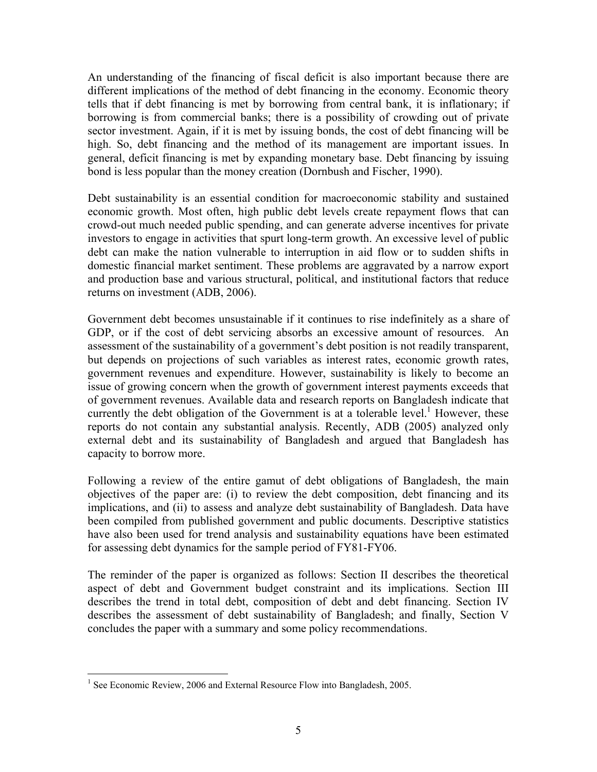An understanding of the financing of fiscal deficit is also important because there are different implications of the method of debt financing in the economy. Economic theory tells that if debt financing is met by borrowing from central bank, it is inflationary; if borrowing is from commercial banks; there is a possibility of crowding out of private sector investment. Again, if it is met by issuing bonds, the cost of debt financing will be high. So, debt financing and the method of its management are important issues. In general, deficit financing is met by expanding monetary base. Debt financing by issuing bond is less popular than the money creation (Dornbush and Fischer, 1990).

Debt sustainability is an essential condition for macroeconomic stability and sustained economic growth. Most often, high public debt levels create repayment flows that can crowd-out much needed public spending, and can generate adverse incentives for private investors to engage in activities that spurt long-term growth. An excessive level of public debt can make the nation vulnerable to interruption in aid flow or to sudden shifts in domestic financial market sentiment. These problems are aggravated by a narrow export and production base and various structural, political, and institutional factors that reduce returns on investment (ADB, 2006).

Government debt becomes unsustainable if it continues to rise indefinitely as a share of GDP, or if the cost of debt servicing absorbs an excessive amount of resources. An assessment of the sustainability of a government's debt position is not readily transparent, but depends on projections of such variables as interest rates, economic growth rates, government revenues and expenditure. However, sustainability is likely to become an issue of growing concern when the growth of government interest payments exceeds that of government revenues. Available data and research reports on Bangladesh indicate that currently the debt obligation of the Government is at a tolerable level.<sup>1</sup> However, these reports do not contain any substantial analysis. Recently, ADB (2005) analyzed only external debt and its sustainability of Bangladesh and argued that Bangladesh has capacity to borrow more.

Following a review of the entire gamut of debt obligations of Bangladesh, the main objectives of the paper are: (i) to review the debt composition, debt financing and its implications, and (ii) to assess and analyze debt sustainability of Bangladesh. Data have been compiled from published government and public documents. Descriptive statistics have also been used for trend analysis and sustainability equations have been estimated for assessing debt dynamics for the sample period of FY81-FY06.

The reminder of the paper is organized as follows: Section II describes the theoretical aspect of debt and Government budget constraint and its implications. Section III describes the trend in total debt, composition of debt and debt financing. Section IV describes the assessment of debt sustainability of Bangladesh; and finally, Section V concludes the paper with a summary and some policy recommendations.

<span id="page-4-0"></span><sup>1</sup> <sup>1</sup> See Economic Review, 2006 and External Resource Flow into Bangladesh, 2005.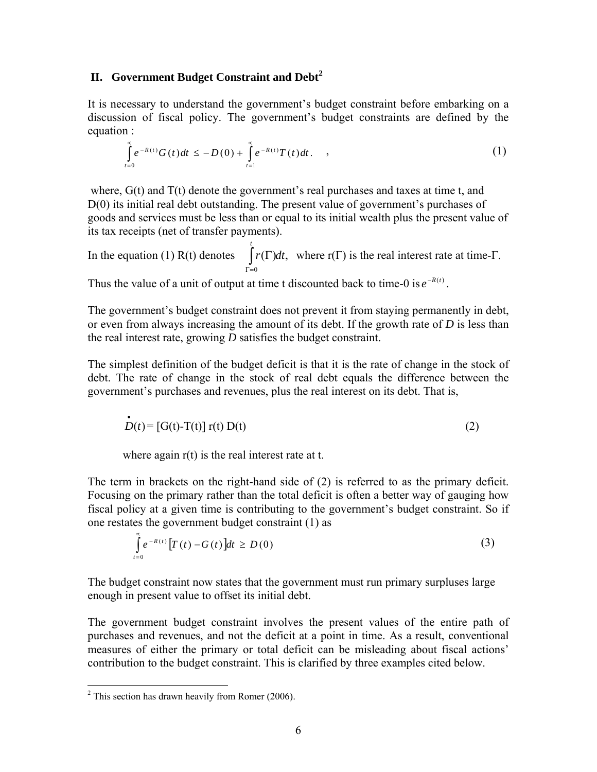### **II. Government Budget Constraint and Debt[2](#page-5-0)**

It is necessary to understand the government's budget constraint before embarking on a discussion of fiscal policy. The government's budget constraints are defined by the equation :

$$
\int_{t=0}^{\infty} e^{-R(t)} G(t) dt \leq -D(0) + \int_{t=1}^{\infty} e^{-R(t)} T(t) dt.
$$
 (1)

where,  $G(t)$  and  $T(t)$  denote the government's real purchases and taxes at time t, and D(0) its initial real debt outstanding. The present value of government's purchases of goods and services must be less than or equal to its initial wealth plus the present value of its tax receipts (net of transfer payments).

In the equation (1) R(t) denotes  $\int r(\Gamma) dt$ , where r(Γ) is the real interest rate at time-Γ. 0  $r(\Gamma)dt$ *t* ∫ Γ= Γ

Thus the value of a unit of output at time t discounted back to time-0 is  $e^{-R(t)}$ .

The government's budget constraint does not prevent it from staying permanently in debt, or even from always increasing the amount of its debt. If the growth rate of *D* is less than the real interest rate, growing *D* satisfies the budget constraint.

The simplest definition of the budget deficit is that it is the rate of change in the stock of debt. The rate of change in the stock of real debt equals the difference between the government's purchases and revenues, plus the real interest on its debt. That is,

$$
\dot{D}(t) = [G(t) - T(t)] \mathbf{r}(t) D(t)
$$
\n(2)

where again  $r(t)$  is the real interest rate at t.

The term in brackets on the right-hand side of (2) is referred to as the primary deficit. Focusing on the primary rather than the total deficit is often a better way of gauging how fiscal policy at a given time is contributing to the government's budget constraint. So if one restates the government budget constraint (1) as

$$
\int_{t=0}^{\infty} e^{-R(t)} \left[ T(t) - G(t) \right] dt \ge D(0)
$$
\n(3)

The budget constraint now states that the government must run primary surpluses large enough in present value to offset its initial debt.

The government budget constraint involves the present values of the entire path of purchases and revenues, and not the deficit at a point in time. As a result, conventional measures of either the primary or total deficit can be misleading about fiscal actions' contribution to the budget constraint. This is clarified by three examples cited below.

 $\overline{a}$ 

<span id="page-5-0"></span> $2$  This section has drawn heavily from Romer (2006).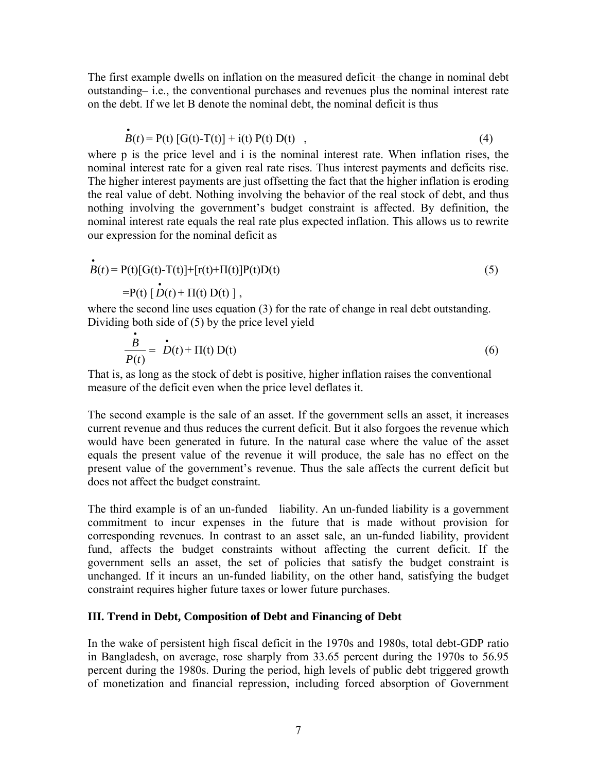The first example dwells on inflation on the measured deficit–the change in nominal debt outstanding– i.e., the conventional purchases and revenues plus the nominal interest rate on the debt. If we let B denote the nominal debt, the nominal deficit is thus

$$
\dot{B}(t) = P(t) [G(t) - T(t)] + i(t) P(t) D(t) , \qquad (4)
$$

where p is the price level and i is the nominal interest rate. When inflation rises, the nominal interest rate for a given real rate rises. Thus interest payments and deficits rise. The higher interest payments are just offsetting the fact that the higher inflation is eroding the real value of debt. Nothing involving the behavior of the real stock of debt, and thus nothing involving the government's budget constraint is affected. By definition, the nominal interest rate equals the real rate plus expected inflation. This allows us to rewrite our expression for the nominal deficit as

$$
\begin{aligned}\n\dot{B}(t) &= P(t)[G(t)-T(t)]+[r(t)+\Pi(t)]P(t)D(t) \\
&= P(t)[\dot{D}(t)+\Pi(t) D(t)],\n\end{aligned}\n\tag{5}
$$

where the second line uses equation (3) for the rate of change in real debt outstanding. Dividing both side of (5) by the price level yield

$$
\frac{\dot{B}}{P(t)} = \dot{D}(t) + \Pi(t) D(t)
$$
\n(6)

That is, as long as the stock of debt is positive, higher inflation raises the conventional measure of the deficit even when the price level deflates it.

The second example is the sale of an asset. If the government sells an asset, it increases current revenue and thus reduces the current deficit. But it also forgoes the revenue which would have been generated in future. In the natural case where the value of the asset equals the present value of the revenue it will produce, the sale has no effect on the present value of the government's revenue. Thus the sale affects the current deficit but does not affect the budget constraint.

The third example is of an un-funded liability. An un-funded liability is a government commitment to incur expenses in the future that is made without provision for corresponding revenues. In contrast to an asset sale, an un-funded liability, provident fund, affects the budget constraints without affecting the current deficit. If the government sells an asset, the set of policies that satisfy the budget constraint is unchanged. If it incurs an un-funded liability, on the other hand, satisfying the budget constraint requires higher future taxes or lower future purchases.

#### **III. Trend in Debt, Composition of Debt and Financing of Debt**

In the wake of persistent high fiscal deficit in the 1970s and 1980s, total debt-GDP ratio in Bangladesh, on average, rose sharply from 33.65 percent during the 1970s to 56.95 percent during the 1980s. During the period, high levels of public debt triggered growth of monetization and financial repression, including forced absorption of Government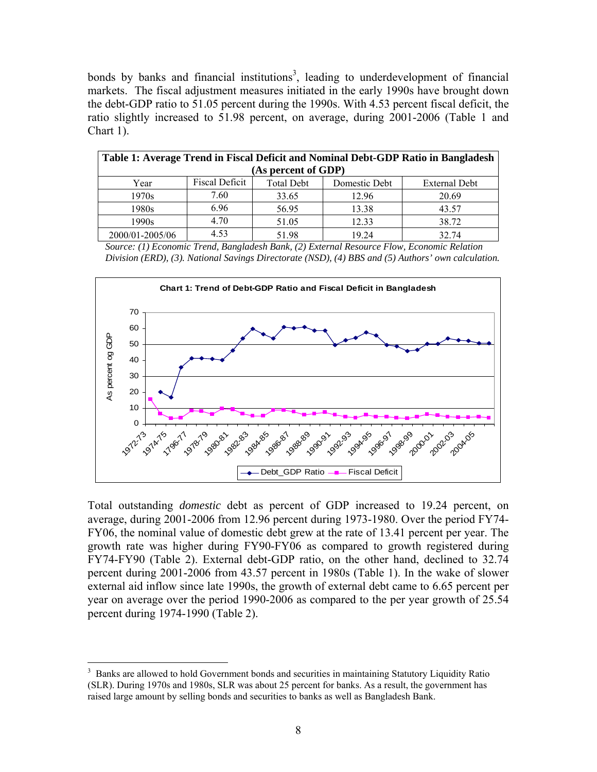bonds by banks and financial institutions<sup>3</sup>, leading to underdevelopment of financial markets. The fiscal adjustment measures initiated in the early 1990s have brought down the debt-GDP ratio to 51.05 percent during the 1990s. With 4.53 percent fiscal deficit, the ratio slightly increased to 51.98 percent, on average, during 2001-2006 (Table 1 and Chart 1).

| Table 1: Average Trend in Fiscal Deficit and Nominal Debt-GDP Ratio in Bangladesh |                       |                   |               |                      |  |  |  |
|-----------------------------------------------------------------------------------|-----------------------|-------------------|---------------|----------------------|--|--|--|
| (As percent of GDP)                                                               |                       |                   |               |                      |  |  |  |
| Year                                                                              | <b>Fiscal Deficit</b> | <b>Total Debt</b> | Domestic Debt | <b>External Debt</b> |  |  |  |
| 1970s                                                                             | 7.60                  | 33.65             | 12.96         | 20.69                |  |  |  |
| 1980s                                                                             | 6.96                  | 56.95             | 13.38         | 43.57                |  |  |  |
| 1990s                                                                             | 4.70                  | 51.05             | 12.33         | 38.72                |  |  |  |
| 2000/01-2005/06                                                                   | 4.53                  | 51.98             | 19 24         | 32.74                |  |  |  |

 *Source: (1) Economic Trend, Bangladesh Bank, (2) External Resource Flow, Economic Relation Division (ERD), (3). National Savings Directorate (NSD), (4) BBS and (5) Authors' own calculation.*



Total outstanding *domestic* debt as percent of GDP increased to 19.24 percent, on average, during 2001-2006 from 12.96 percent during 1973-1980. Over the period FY74- FY06, the nominal value of domestic debt grew at the rate of 13.41 percent per year. The growth rate was higher during FY90-FY06 as compared to growth registered during FY74-FY90 (Table 2). External debt-GDP ratio, on the other hand, declined to 32.74 percent during 2001-2006 from 43.57 percent in 1980s (Table 1). In the wake of slower external aid inflow since late 1990s, the growth of external debt came to 6.65 percent per year on average over the period 1990-2006 as compared to the per year growth of 25.54 percent during 1974-1990 (Table 2).

<span id="page-7-0"></span><sup>1</sup> 3 Banks are allowed to hold Government bonds and securities in maintaining Statutory Liquidity Ratio (SLR). During 1970s and 1980s, SLR was about 25 percent for banks. As a result, the government has raised large amount by selling bonds and securities to banks as well as Bangladesh Bank.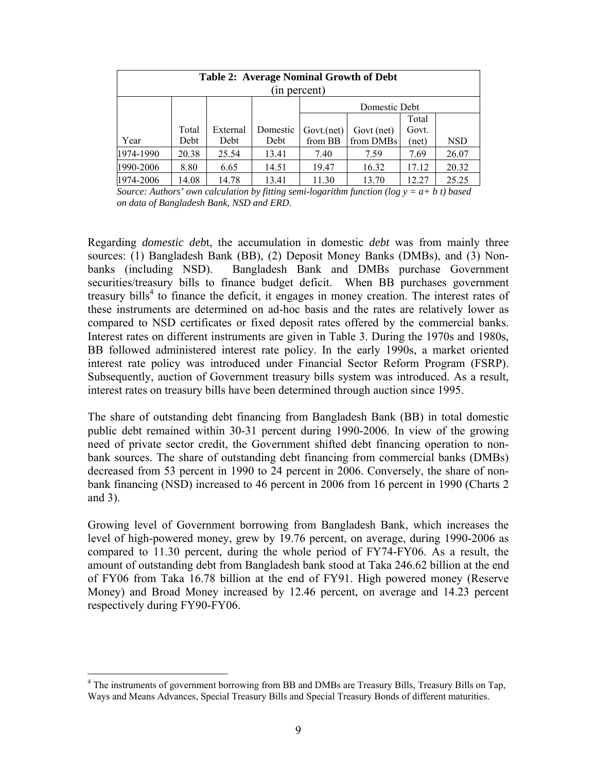| <b>Table 2: Average Nominal Growth of Debt</b><br>(in percent) |       |          |          |            |            |       |            |  |
|----------------------------------------------------------------|-------|----------|----------|------------|------------|-------|------------|--|
| Domestic Debt                                                  |       |          |          |            |            |       |            |  |
|                                                                |       |          |          | Total      |            |       |            |  |
|                                                                | Total | External | Domestic | Govt.(net) | Govt (net) | Govt. |            |  |
| Year                                                           | Debt  | Debt     | Debt     | from BB    | from DMBs  | (net) | <b>NSD</b> |  |
| 1974-1990                                                      | 20.38 | 25.54    | 13.41    | 7.40       | 7.59       | 7.69  | 26.07      |  |
| 1990-2006                                                      | 8.80  | 6.65     | 14.51    | 19.47      | 16.32      | 17.12 | 20.32      |  |
| 1974-2006                                                      | 14.08 | 14.78    | 13.41    | 11.30      | 13.70      | 12.27 | 25.25      |  |

*Source: Authors' own calculation by fitting semi-logarithm function (log y = a+ b t) based on data of Bangladesh Bank, NSD and ERD.*

Regarding *domestic deb*t, the accumulation in domestic *debt* was from mainly three sources: (1) Bangladesh Bank (BB), (2) Deposit Money Banks (DMBs), and (3) Nonbanks (including NSD). Bangladesh Bank and DMBs purchase Government securities/treasury bills to finance budget deficit. When BB purchases government treasury bills<sup>[4](#page-8-0)</sup> to finance the deficit, it engages in money creation. The interest rates of these instruments are determined on ad-hoc basis and the rates are relatively lower as compared to NSD certificates or fixed deposit rates offered by the commercial banks. Interest rates on different instruments are given in Table 3. During the 1970s and 1980s, BB followed administered interest rate policy. In the early 1990s, a market oriented interest rate policy was introduced under Financial Sector Reform Program (FSRP). Subsequently, auction of Government treasury bills system was introduced. As a result, interest rates on treasury bills have been determined through auction since 1995.

The share of outstanding debt financing from Bangladesh Bank (BB) in total domestic public debt remained within 30-31 percent during 1990-2006. In view of the growing need of private sector credit, the Government shifted debt financing operation to nonbank sources. The share of outstanding debt financing from commercial banks (DMBs) decreased from 53 percent in 1990 to 24 percent in 2006. Conversely, the share of nonbank financing (NSD) increased to 46 percent in 2006 from 16 percent in 1990 (Charts 2 and 3).

Growing level of Government borrowing from Bangladesh Bank, which increases the level of high-powered money, grew by 19.76 percent, on average, during 1990-2006 as compared to 11.30 percent, during the whole period of FY74-FY06. As a result, the amount of outstanding debt from Bangladesh bank stood at Taka 246.62 billion at the end of FY06 from Taka 16.78 billion at the end of FY91. High powered money (Reserve Money) and Broad Money increased by 12.46 percent, on average and 14.23 percent respectively during FY90-FY06.

 $\overline{a}$ 

<span id="page-8-0"></span><sup>&</sup>lt;sup>4</sup> The instruments of government borrowing from BB and DMBs are Treasury Bills, Treasury Bills on Tap, Ways and Means Advances, Special Treasury Bills and Special Treasury Bonds of different maturities.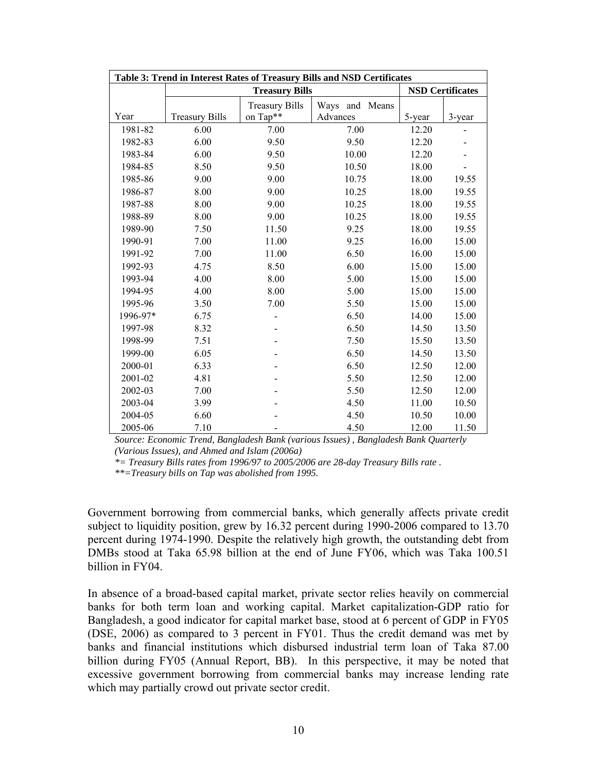| Table 3: Trend in Interest Rates of Treasury Bills and NSD Certificates |                       |                                   |                            |        |        |  |  |  |
|-------------------------------------------------------------------------|-----------------------|-----------------------------------|----------------------------|--------|--------|--|--|--|
|                                                                         |                       |                                   | <b>NSD Certificates</b>    |        |        |  |  |  |
| Year                                                                    | <b>Treasury Bills</b> | <b>Treasury Bills</b><br>on Tap** | Ways and Means<br>Advances | 5-year | 3-year |  |  |  |
| 1981-82                                                                 | 6.00                  | 7.00                              | 7.00                       | 12.20  |        |  |  |  |
| 1982-83                                                                 | 6.00                  | 9.50                              | 9.50                       | 12.20  |        |  |  |  |
| 1983-84                                                                 | 6.00                  | 9.50                              | 10.00                      | 12.20  |        |  |  |  |
| 1984-85                                                                 | 8.50                  | 9.50                              | 10.50                      | 18.00  |        |  |  |  |
| 1985-86                                                                 | 9.00                  | 9.00                              | 10.75                      | 18.00  | 19.55  |  |  |  |
| 1986-87                                                                 | 8.00                  | 9.00                              | 10.25                      | 18.00  | 19.55  |  |  |  |
| 1987-88                                                                 | 8.00                  | 9.00                              | 10.25                      | 18.00  | 19.55  |  |  |  |
| 1988-89                                                                 | 8.00                  | 9.00                              | 10.25                      | 18.00  | 19.55  |  |  |  |
| 1989-90                                                                 | 7.50                  | 11.50                             | 9.25                       | 18.00  | 19.55  |  |  |  |
| 1990-91                                                                 | 7.00                  | 11.00                             | 9.25                       | 16.00  | 15.00  |  |  |  |
| 1991-92                                                                 | 7.00                  | 11.00                             | 6.50                       | 16.00  | 15.00  |  |  |  |
| 1992-93                                                                 | 4.75                  | 8.50                              | 6.00                       | 15.00  | 15.00  |  |  |  |
| 1993-94                                                                 | 4.00                  | 8.00                              | 5.00                       | 15.00  | 15.00  |  |  |  |
| 1994-95                                                                 | 4.00                  | 8.00                              | 5.00                       | 15.00  | 15.00  |  |  |  |
| 1995-96                                                                 | 3.50                  | 7.00                              | 5.50                       | 15.00  | 15.00  |  |  |  |
| 1996-97*                                                                | 6.75                  |                                   | 6.50                       | 14.00  | 15.00  |  |  |  |
| 1997-98                                                                 | 8.32                  |                                   | 6.50                       | 14.50  | 13.50  |  |  |  |
| 1998-99                                                                 | 7.51                  |                                   | 7.50                       | 15.50  | 13.50  |  |  |  |
| 1999-00                                                                 | 6.05                  |                                   | 6.50                       | 14.50  | 13.50  |  |  |  |
| 2000-01                                                                 | 6.33                  |                                   | 6.50                       | 12.50  | 12.00  |  |  |  |
| 2001-02                                                                 | 4.81                  |                                   | 5.50                       | 12.50  | 12.00  |  |  |  |
| 2002-03                                                                 | 7.00                  |                                   | 5.50                       | 12.50  | 12.00  |  |  |  |
| 2003-04                                                                 | 3.99                  |                                   | 4.50                       | 11.00  | 10.50  |  |  |  |
| 2004-05                                                                 | 6.60                  |                                   | 4.50                       | 10.50  | 10.00  |  |  |  |
| 2005-06                                                                 | 7.10                  |                                   | 4.50                       | 12.00  | 11.50  |  |  |  |

*Source: Economic Trend, Bangladesh Bank (various Issues) , Bangladesh Bank Quarterly (Various Issues), and Ahmed and Islam (2006a)*

*\*= Treasury Bills rates from 1996/97 to 2005/2006 are 28-day Treasury Bills rate .* 

*\*\*=Treasury bills on Tap was abolished from 1995.* 

Government borrowing from commercial banks, which generally affects private credit subject to liquidity position, grew by 16.32 percent during 1990-2006 compared to 13.70 percent during 1974-1990. Despite the relatively high growth, the outstanding debt from DMBs stood at Taka 65.98 billion at the end of June FY06, which was Taka 100.51 billion in FY04.

In absence of a broad-based capital market, private sector relies heavily on commercial banks for both term loan and working capital. Market capitalization-GDP ratio for Bangladesh, a good indicator for capital market base, stood at 6 percent of GDP in FY05 (DSE, 2006) as compared to 3 percent in FY01. Thus the credit demand was met by banks and financial institutions which disbursed industrial term loan of Taka 87.00 billion during FY05 (Annual Report, BB). In this perspective, it may be noted that excessive government borrowing from commercial banks may increase lending rate which may partially crowd out private sector credit.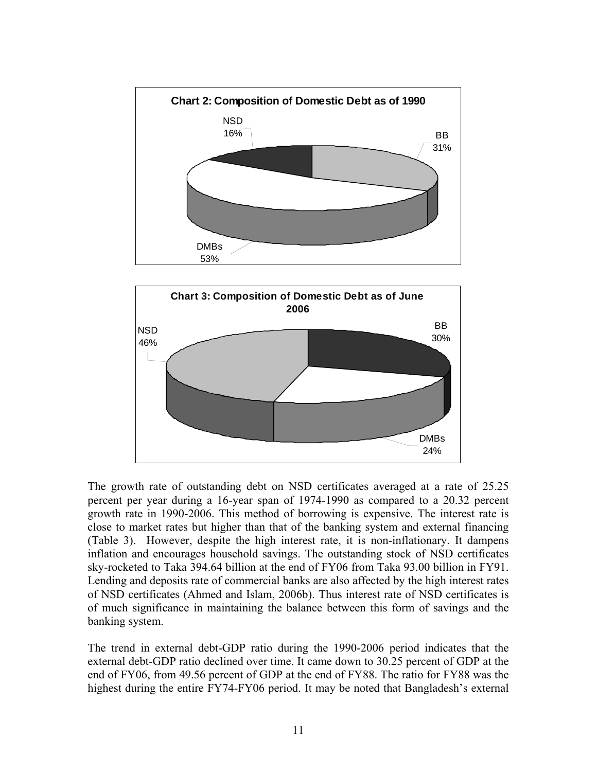

The growth rate of outstanding debt on NSD certificates averaged at a rate of 25.25 percent per year during a 16-year span of 1974-1990 as compared to a 20.32 percent growth rate in 1990-2006. This method of borrowing is expensive. The interest rate is close to market rates but higher than that of the banking system and external financing (Table 3). However, despite the high interest rate, it is non-inflationary. It dampens inflation and encourages household savings. The outstanding stock of NSD certificates sky-rocketed to Taka 394.64 billion at the end of FY06 from Taka 93.00 billion in FY91. Lending and deposits rate of commercial banks are also affected by the high interest rates of NSD certificates (Ahmed and Islam, 2006b). Thus interest rate of NSD certificates is of much significance in maintaining the balance between this form of savings and the banking system.

The trend in external debt-GDP ratio during the 1990-2006 period indicates that the external debt-GDP ratio declined over time. It came down to 30.25 percent of GDP at the end of FY06, from 49.56 percent of GDP at the end of FY88. The ratio for FY88 was the highest during the entire FY74-FY06 period. It may be noted that Bangladesh's external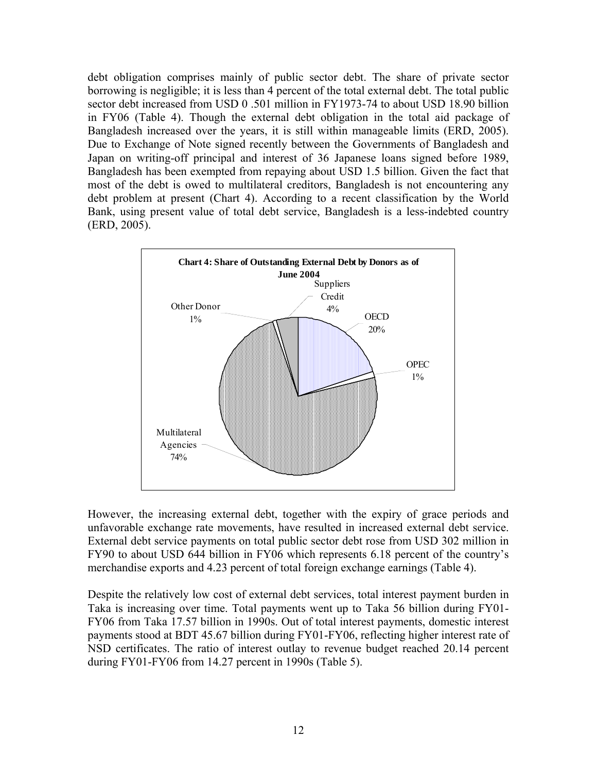debt obligation comprises mainly of public sector debt. The share of private sector borrowing is negligible; it is less than 4 percent of the total external debt. The total public sector debt increased from USD 0 .501 million in FY1973-74 to about USD 18.90 billion in FY06 (Table 4). Though the external debt obligation in the total aid package of Bangladesh increased over the years, it is still within manageable limits (ERD, 2005). Due to Exchange of Note signed recently between the Governments of Bangladesh and Japan on writing-off principal and interest of 36 Japanese loans signed before 1989, Bangladesh has been exempted from repaying about USD 1.5 billion. Given the fact that most of the debt is owed to multilateral creditors, Bangladesh is not encountering any debt problem at present (Chart 4). According to a recent classification by the World Bank, using present value of total debt service, Bangladesh is a less-indebted country (ERD, 2005).



However, the increasing external debt, together with the expiry of grace periods and unfavorable exchange rate movements, have resulted in increased external debt service. External debt service payments on total public sector debt rose from USD 302 million in FY90 to about USD 644 billion in FY06 which represents 6.18 percent of the country's merchandise exports and 4.23 percent of total foreign exchange earnings (Table 4).

Despite the relatively low cost of external debt services, total interest payment burden in Taka is increasing over time. Total payments went up to Taka 56 billion during FY01- FY06 from Taka 17.57 billion in 1990s. Out of total interest payments, domestic interest payments stood at BDT 45.67 billion during FY01-FY06, reflecting higher interest rate of NSD certificates. The ratio of interest outlay to revenue budget reached 20.14 percent during FY01-FY06 from 14.27 percent in 1990s (Table 5).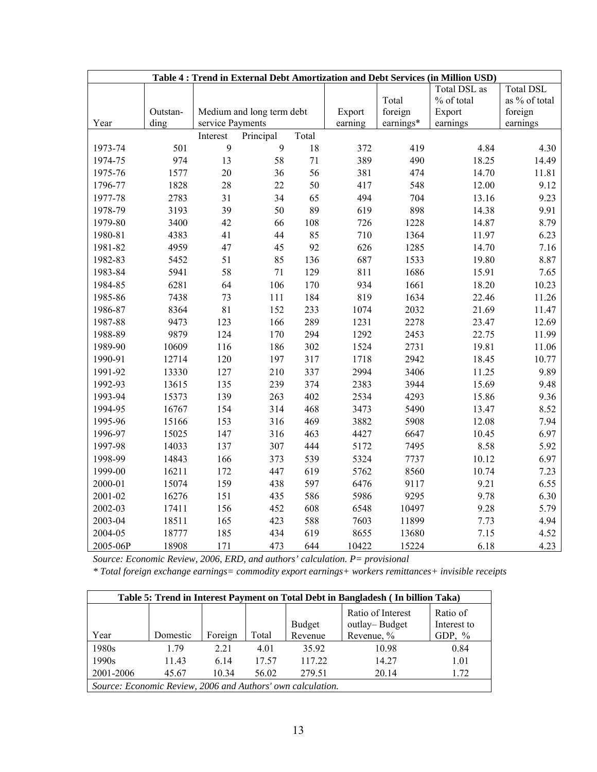| Table 4: Trend in External Debt Amortization and Debt Services (in Million USD) |          |                  |                           |        |         |           |              |                  |
|---------------------------------------------------------------------------------|----------|------------------|---------------------------|--------|---------|-----------|--------------|------------------|
|                                                                                 |          |                  |                           |        |         |           | Total DSL as | <b>Total DSL</b> |
|                                                                                 |          |                  |                           |        |         | Total     | % of total   | as % of total    |
|                                                                                 | Outstan- |                  | Medium and long term debt |        | Export  | foreign   | Export       | foreign          |
| Year                                                                            | ding     | service Payments |                           |        | earning | earnings* | earnings     | earnings         |
|                                                                                 |          | Interest         | Principal                 | Total  |         |           |              |                  |
| 1973-74                                                                         | 501      | 9                | 9                         | 18     | 372     | 419       | 4.84         | 4.30             |
| 1974-75                                                                         | 974      | 13               | 58                        | $71\,$ | 389     | 490       | 18.25        | 14.49            |
| 1975-76                                                                         | 1577     | $20\,$           | 36                        | 56     | 381     | 474       | 14.70        | 11.81            |
| 1796-77                                                                         | 1828     | 28               | 22                        | 50     | 417     | 548       | 12.00        | 9.12             |
| 1977-78                                                                         | 2783     | 31               | 34                        | 65     | 494     | 704       | 13.16        | 9.23             |
| 1978-79                                                                         | 3193     | 39               | 50                        | 89     | 619     | 898       | 14.38        | 9.91             |
| 1979-80                                                                         | 3400     | 42               | 66                        | 108    | 726     | 1228      | 14.87        | 8.79             |
| 1980-81                                                                         | 4383     | 41               | 44                        | 85     | 710     | 1364      | 11.97        | 6.23             |
| 1981-82                                                                         | 4959     | 47               | 45                        | 92     | 626     | 1285      | 14.70        | 7.16             |
| 1982-83                                                                         | 5452     | 51               | 85                        | 136    | 687     | 1533      | 19.80        | 8.87             |
| 1983-84                                                                         | 5941     | 58               | 71                        | 129    | 811     | 1686      | 15.91        | 7.65             |
| 1984-85                                                                         | 6281     | 64               | 106                       | 170    | 934     | 1661      | 18.20        | 10.23            |
| 1985-86                                                                         | 7438     | 73               | 111                       | 184    | 819     | 1634      | 22.46        | 11.26            |
| 1986-87                                                                         | 8364     | 81               | 152                       | 233    | 1074    | 2032      | 21.69        | 11.47            |
| 1987-88                                                                         | 9473     | 123              | 166                       | 289    | 1231    | 2278      | 23.47        | 12.69            |
| 1988-89                                                                         | 9879     | 124              | 170                       | 294    | 1292    | 2453      | 22.75        | 11.99            |
| 1989-90                                                                         | 10609    | 116              | 186                       | 302    | 1524    | 2731      | 19.81        | 11.06            |
| 1990-91                                                                         | 12714    | 120              | 197                       | 317    | 1718    | 2942      | 18.45        | 10.77            |
| 1991-92                                                                         | 13330    | 127              | 210                       | 337    | 2994    | 3406      | 11.25        | 9.89             |
| 1992-93                                                                         | 13615    | 135              | 239                       | 374    | 2383    | 3944      | 15.69        | 9.48             |
| 1993-94                                                                         | 15373    | 139              | 263                       | 402    | 2534    | 4293      | 15.86        | 9.36             |
| 1994-95                                                                         | 16767    | 154              | 314                       | 468    | 3473    | 5490      | 13.47        | 8.52             |
| 1995-96                                                                         | 15166    | 153              | 316                       | 469    | 3882    | 5908      | 12.08        | 7.94             |
| 1996-97                                                                         | 15025    | 147              | 316                       | 463    | 4427    | 6647      | 10.45        | 6.97             |
| 1997-98                                                                         | 14033    | 137              | 307                       | 444    | 5172    | 7495      | 8.58         | 5.92             |
| 1998-99                                                                         | 14843    | 166              | 373                       | 539    | 5324    | 7737      | 10.12        | 6.97             |
| 1999-00                                                                         | 16211    | 172              | 447                       | 619    | 5762    | 8560      | 10.74        | 7.23             |
| 2000-01                                                                         | 15074    | 159              | 438                       | 597    | 6476    | 9117      | 9.21         | 6.55             |
| 2001-02                                                                         | 16276    | 151              | 435                       | 586    | 5986    | 9295      | 9.78         | 6.30             |
| 2002-03                                                                         | 17411    | 156              | 452                       | 608    | 6548    | 10497     | 9.28         | 5.79             |
| 2003-04                                                                         | 18511    | 165              | 423                       | 588    | 7603    | 11899     | 7.73         | 4.94             |
| 2004-05                                                                         | 18777    | 185              | 434                       | 619    | 8655    | 13680     | 7.15         | 4.52             |
| 2005-06P                                                                        | 18908    | 171              | 473                       | 644    | 10422   | 15224     | 6.18         | 4.23             |

*Source: Economic Review, 2006, ERD, and authors' calculation. P= provisional*

*\* Total foreign exchange earnings= commodity export earnings+ workers remittances+ invisible receipts* 

| Table 5: Trend in Interest Payment on Total Debt in Bangladesh (In billion Taka) |          |         |       |                          |                                                  |                                     |  |
|----------------------------------------------------------------------------------|----------|---------|-------|--------------------------|--------------------------------------------------|-------------------------------------|--|
| Year                                                                             | Domestic | Foreign | Total | <b>Budget</b><br>Revenue | Ratio of Interest<br>outlay-Budget<br>Revenue, % | Ratio of<br>Interest to<br>GDP, $%$ |  |
| 1980s                                                                            | 179      | 2.21    | 4.01  | 35.92                    | 10.98                                            | 0.84                                |  |
| 1990s                                                                            | 11.43    | 6.14    | 17.57 | 117.22                   | 14.27                                            | 1.01                                |  |
| 2001-2006                                                                        | 45.67    | 10.34   | 56.02 | 279.51                   | 20.14                                            | 1.72                                |  |
| Source: Economic Review, 2006 and Authors' own calculation.                      |          |         |       |                          |                                                  |                                     |  |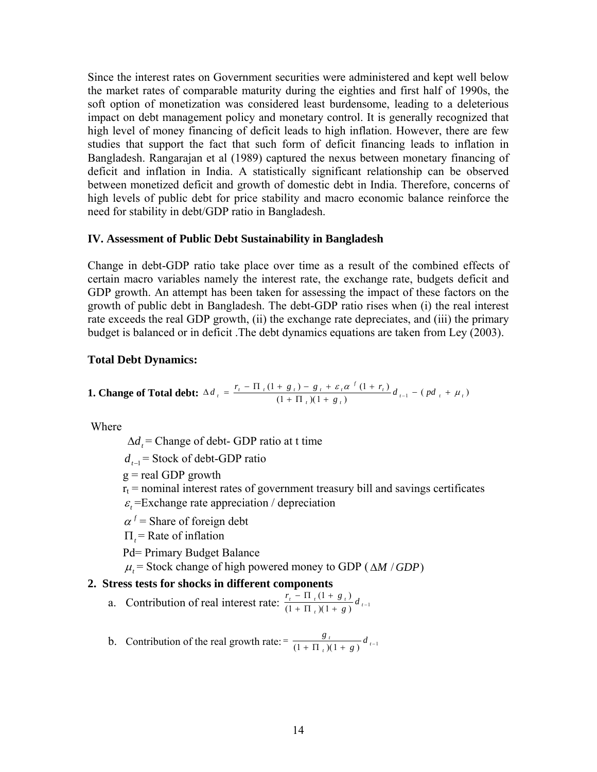Since the interest rates on Government securities were administered and kept well below the market rates of comparable maturity during the eighties and first half of 1990s, the soft option of monetization was considered least burdensome, leading to a deleterious impact on debt management policy and monetary control. It is generally recognized that high level of money financing of deficit leads to high inflation. However, there are few studies that support the fact that such form of deficit financing leads to inflation in Bangladesh. Rangarajan et al (1989) captured the nexus between monetary financing of deficit and inflation in India. A statistically significant relationship can be observed between monetized deficit and growth of domestic debt in India. Therefore, concerns of high levels of public debt for price stability and macro economic balance reinforce the need for stability in debt/GDP ratio in Bangladesh.

#### **IV. Assessment of Public Debt Sustainability in Bangladesh**

Change in debt-GDP ratio take place over time as a result of the combined effects of certain macro variables namely the interest rate, the exchange rate, budgets deficit and GDP growth. An attempt has been taken for assessing the impact of these factors on the growth of public debt in Bangladesh. The debt-GDP ratio rises when (i) the real interest rate exceeds the real GDP growth, (ii) the exchange rate depreciates, and (iii) the primary budget is balanced or in deficit .The debt dynamics equations are taken from Ley (2003).

#### **Total Debt Dynamics:**

**1. Change of Total debt:** 
$$
\Delta d_{i} = \frac{r_{i} - \Pi_{i} (1 + g_{i}) - g_{i} + \varepsilon_{i} \alpha^{f} (1 + r_{i})}{(1 + \Pi_{i}) (1 + g_{i})} d_{i-1} - (pd_{i} + \mu_{i})
$$

Where

 $\Delta d_t$  = Change of debt- GDP ratio at t time

*d*<sub>t−1</sub> = Stock of debt-GDP ratio

 $g =$  real GDP growth

 $r_t$  = nominal interest rates of government treasury bill and savings certificates

 $\epsilon$  =Exchange rate appreciation / depreciation

 $\alpha^f$  = Share of foreign debt

= Rate of inflation Π*<sup>t</sup>*

Pd= Primary Budget Balance

 $\mu_t$  = Stock change of high powered money to GDP ( $\Delta M / GDP$ )

#### **2. Stress tests for shocks in different components**

a. Contribution of real interest rate:  $\frac{r_i - \Pi_i (1 + g_i)}{(1 + \Pi_i)(1 + g)} d_{i-1}$  $+\Pi_{t}(1+g)^{u_{t-1}}$  $\frac{-\Pi_{t}(1+g_{t})}{+\Pi_{t}(1+g_{t})}d_{t}$  $\frac{r_t - \Pi_t (1 + g_t)}{(1 + \Pi_t)(1 + g)} d_{t-1}$ 

b. Contribution of the real growth rate:  $= \frac{8t}{(1 + \Pi_t)(1 + g)} d_{t-1}$  $\frac{t}{a(1+g)}$  *d g*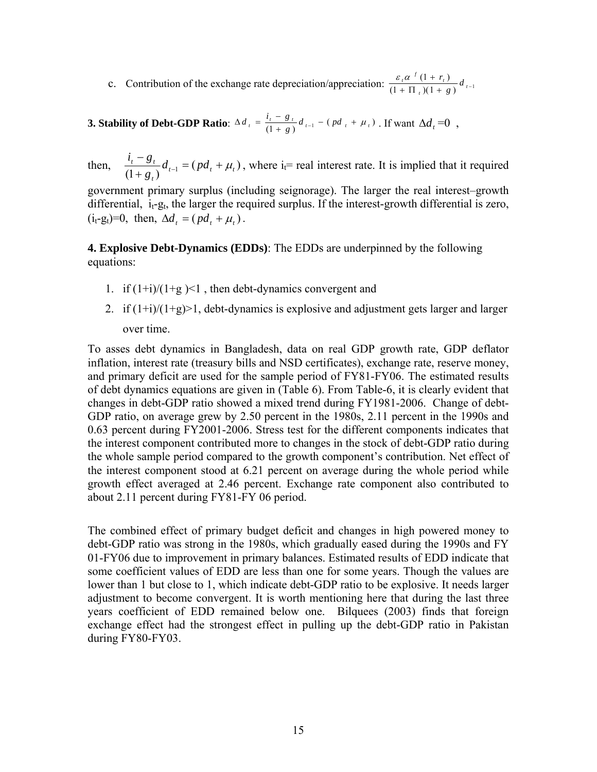c. Contribution of the exchange rate depreciation/appreciation:  $\frac{\varepsilon_i \alpha^{f} (1 + r_i)}{(1 + \Pi_i)(1 + g)} d_{i-1}$  $+\Pi_{t}(1+g)^{u_{t-1}}$  $\frac{(1+r_{t})}{(1+g)}d_{t}$  $\frac{r}{r}a^{f}(1+r_{t}) + \Pi_{t}(1+g) d^{f}$  $\varepsilon, \alpha^{f}$  (1 + r

**3. Stability of Debt-GDP Ratio**:  $\Delta d_{t} = \frac{i_{t} - g_{t}}{(1 + g)} d_{t-1} - (pd_{t} + \mu_{t})$ . If want  $\Delta d_{t} = 0$ ,

then,  $\frac{t_t - s_t}{(1 + g_t)} d_{t-1} = (pd_t + \mu_t)$  $\frac{t}{t}$   $\frac{t}{t}$   $\frac{t}{t}$   $\frac{t}{t-1}$   $\frac{t}{t-1}$   $\frac{t}{t}$   $\frac{dt}{t-1}$ *g*  $\frac{i_i - g_i}{a_i} d_{i-1} = (pd_i + \mu_i)$ + −  $\mu_{-1} = (pd_t + \mu_t)$ , where i<sub>t</sub>= real interest rate. It is implied that it required

government primary surplus (including seignorage). The larger the real interest–growth differential,  $i_t-g_t$ , the larger the required surplus. If the interest-growth differential is zero,  $(i_t-g_t)=0$ , then,  $\Delta d_t = (pd_t + \mu_t)$ .

**4. Explosive Debt-Dynamics (EDDs)**: The EDDs are underpinned by the following equations:

- 1. if  $(1+i)/(1+g)$ <1, then debt-dynamics convergent and
- 2. if  $(1+i)/(1+g)$  debt-dynamics is explosive and adjustment gets larger and larger over time.

To asses debt dynamics in Bangladesh, data on real GDP growth rate, GDP deflator inflation, interest rate (treasury bills and NSD certificates), exchange rate, reserve money, and primary deficit are used for the sample period of FY81-FY06. The estimated results of debt dynamics equations are given in (Table 6). From Table-6, it is clearly evident that changes in debt-GDP ratio showed a mixed trend during FY1981-2006. Change of debt-GDP ratio, on average grew by 2.50 percent in the 1980s, 2.11 percent in the 1990s and 0.63 percent during FY2001-2006. Stress test for the different components indicates that the interest component contributed more to changes in the stock of debt-GDP ratio during the whole sample period compared to the growth component's contribution. Net effect of the interest component stood at 6.21 percent on average during the whole period while growth effect averaged at 2.46 percent. Exchange rate component also contributed to about 2.11 percent during FY81-FY 06 period.

The combined effect of primary budget deficit and changes in high powered money to debt-GDP ratio was strong in the 1980s, which gradually eased during the 1990s and FY 01-FY06 due to improvement in primary balances. Estimated results of EDD indicate that some coefficient values of EDD are less than one for some years. Though the values are lower than 1 but close to 1, which indicate debt-GDP ratio to be explosive. It needs larger adjustment to become convergent. It is worth mentioning here that during the last three years coefficient of EDD remained below one. Bilquees (2003) finds that foreign exchange effect had the strongest effect in pulling up the debt-GDP ratio in Pakistan during FY80-FY03.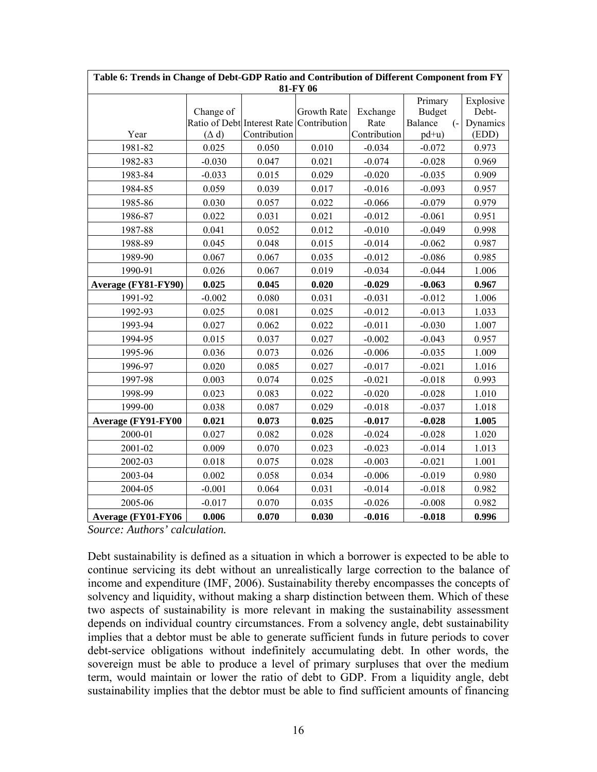|                           | Table 6: Trends in Change of Debt-GDP Ratio and Contribution of Different Component from FY<br>81-FY 06 |              |                                          |              |                          |                    |  |  |
|---------------------------|---------------------------------------------------------------------------------------------------------|--------------|------------------------------------------|--------------|--------------------------|--------------------|--|--|
|                           | Change of                                                                                               |              | Growth Rate                              | Exchange     | Primary<br><b>Budget</b> | Explosive<br>Debt- |  |  |
|                           |                                                                                                         |              | Ratio of Debt Interest Rate Contribution | Rate         | Balance<br>$\left($ -    | Dynamics           |  |  |
| Year                      | $(\Delta d)$                                                                                            | Contribution |                                          | Contribution | $pd+u)$                  | (EDD)              |  |  |
| 1981-82                   | 0.025                                                                                                   | 0.050        | 0.010                                    | $-0.034$     | $-0.072$                 | 0.973              |  |  |
| 1982-83                   | $-0.030$                                                                                                | 0.047        | 0.021                                    | $-0.074$     | $-0.028$                 | 0.969              |  |  |
| 1983-84                   | $-0.033$                                                                                                | 0.015        | 0.029                                    | $-0.020$     | $-0.035$                 | 0.909              |  |  |
| 1984-85                   | 0.059                                                                                                   | 0.039        | 0.017                                    | $-0.016$     | $-0.093$                 | 0.957              |  |  |
| 1985-86                   | 0.030                                                                                                   | 0.057        | 0.022                                    | $-0.066$     | $-0.079$                 | 0.979              |  |  |
| 1986-87                   | 0.022                                                                                                   | 0.031        | 0.021                                    | $-0.012$     | $-0.061$                 | 0.951              |  |  |
| 1987-88                   | 0.041                                                                                                   | 0.052        | 0.012                                    | $-0.010$     | $-0.049$                 | 0.998              |  |  |
| 1988-89                   | 0.045                                                                                                   | 0.048        | 0.015                                    | $-0.014$     | $-0.062$                 | 0.987              |  |  |
| 1989-90                   | 0.067                                                                                                   | 0.067        | 0.035                                    | $-0.012$     | $-0.086$                 | 0.985              |  |  |
| 1990-91                   | 0.026                                                                                                   | 0.067        | 0.019                                    | $-0.034$     | $-0.044$                 | 1.006              |  |  |
| Average (FY81-FY90)       | 0.025                                                                                                   | 0.045        | 0.020                                    | $-0.029$     | $-0.063$                 | 0.967              |  |  |
| 1991-92                   | $-0.002$                                                                                                | 0.080        | 0.031                                    | $-0.031$     | $-0.012$                 | 1.006              |  |  |
| 1992-93                   | 0.025                                                                                                   | 0.081        | 0.025                                    | $-0.012$     | $-0.013$                 | 1.033              |  |  |
| 1993-94                   | 0.027                                                                                                   | 0.062        | 0.022                                    | $-0.011$     | $-0.030$                 | 1.007              |  |  |
| 1994-95                   | 0.015                                                                                                   | 0.037        | 0.027                                    | $-0.002$     | $-0.043$                 | 0.957              |  |  |
| 1995-96                   | 0.036                                                                                                   | 0.073        | 0.026                                    | $-0.006$     | $-0.035$                 | 1.009              |  |  |
| 1996-97                   | 0.020                                                                                                   | 0.085        | 0.027                                    | $-0.017$     | $-0.021$                 | 1.016              |  |  |
| 1997-98                   | 0.003                                                                                                   | 0.074        | 0.025                                    | $-0.021$     | $-0.018$                 | 0.993              |  |  |
| 1998-99                   | 0.023                                                                                                   | 0.083        | 0.022                                    | $-0.020$     | $-0.028$                 | 1.010              |  |  |
| 1999-00                   | 0.038                                                                                                   | 0.087        | 0.029                                    | $-0.018$     | $-0.037$                 | 1.018              |  |  |
| <b>Average (FY91-FY00</b> | 0.021                                                                                                   | 0.073        | 0.025                                    | $-0.017$     | $-0.028$                 | 1.005              |  |  |
| 2000-01                   | 0.027                                                                                                   | 0.082        | 0.028                                    | $-0.024$     | $-0.028$                 | 1.020              |  |  |
| 2001-02                   | 0.009                                                                                                   | 0.070        | 0.023                                    | $-0.023$     | $-0.014$                 | 1.013              |  |  |
| 2002-03                   | 0.018                                                                                                   | 0.075        | 0.028                                    | $-0.003$     | $-0.021$                 | 1.001              |  |  |
| 2003-04                   | 0.002                                                                                                   | 0.058        | 0.034                                    | $-0.006$     | $-0.019$                 | 0.980              |  |  |
| 2004-05                   | $-0.001$                                                                                                | 0.064        | 0.031                                    | $-0.014$     | $-0.018$                 | 0.982              |  |  |
| 2005-06                   | $-0.017$                                                                                                | 0.070        | 0.035                                    | $-0.026$     | $-0.008$                 | 0.982              |  |  |
| Average (FY01-FY06        | 0.006                                                                                                   | 0.070        | 0.030                                    | $-0.016$     | $-0.018$                 | 0.996              |  |  |

**Table 6: Trends in Change of Debt-GDP Ratio and Contribution of Different Component from FY**

*Source: Authors' calculation.* 

Debt sustainability is defined as a situation in which a borrower is expected to be able to continue servicing its debt without an unrealistically large correction to the balance of income and expenditure (IMF, 2006). Sustainability thereby encompasses the concepts of solvency and liquidity, without making a sharp distinction between them. Which of these two aspects of sustainability is more relevant in making the sustainability assessment depends on individual country circumstances. From a solvency angle, debt sustainability implies that a debtor must be able to generate sufficient funds in future periods to cover debt-service obligations without indefinitely accumulating debt. In other words, the sovereign must be able to produce a level of primary surpluses that over the medium term, would maintain or lower the ratio of debt to GDP. From a liquidity angle, debt sustainability implies that the debtor must be able to find sufficient amounts of financing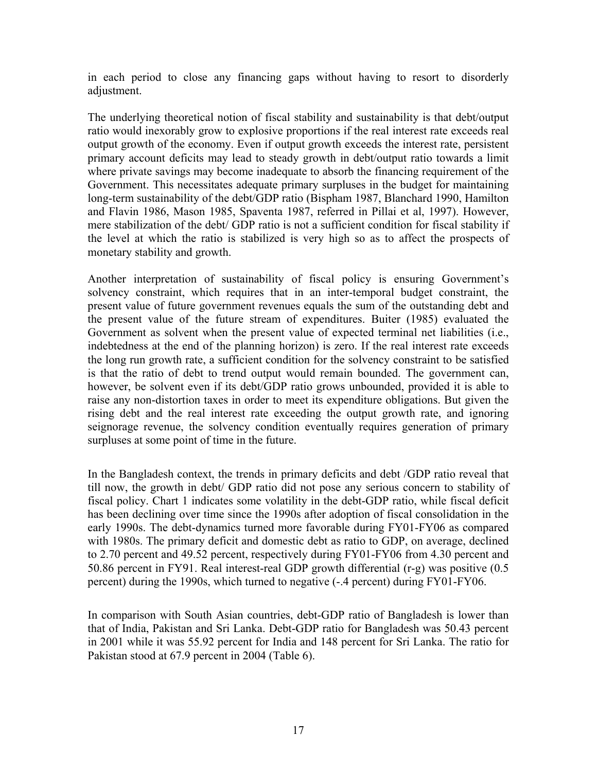in each period to close any financing gaps without having to resort to disorderly adjustment.

The underlying theoretical notion of fiscal stability and sustainability is that debt/output ratio would inexorably grow to explosive proportions if the real interest rate exceeds real output growth of the economy. Even if output growth exceeds the interest rate, persistent primary account deficits may lead to steady growth in debt/output ratio towards a limit where private savings may become inadequate to absorb the financing requirement of the Government. This necessitates adequate primary surpluses in the budget for maintaining long-term sustainability of the debt/GDP ratio (Bispham 1987, Blanchard 1990, Hamilton and Flavin 1986, Mason 1985, Spaventa 1987, referred in Pillai et al, 1997). However, mere stabilization of the debt/ GDP ratio is not a sufficient condition for fiscal stability if the level at which the ratio is stabilized is very high so as to affect the prospects of monetary stability and growth.

Another interpretation of sustainability of fiscal policy is ensuring Government's solvency constraint, which requires that in an inter-temporal budget constraint, the present value of future government revenues equals the sum of the outstanding debt and the present value of the future stream of expenditures. Buiter (1985) evaluated the Government as solvent when the present value of expected terminal net liabilities (i.e., indebtedness at the end of the planning horizon) is zero. If the real interest rate exceeds the long run growth rate, a sufficient condition for the solvency constraint to be satisfied is that the ratio of debt to trend output would remain bounded. The government can, however, be solvent even if its debt/GDP ratio grows unbounded, provided it is able to raise any non-distortion taxes in order to meet its expenditure obligations. But given the rising debt and the real interest rate exceeding the output growth rate, and ignoring seignorage revenue, the solvency condition eventually requires generation of primary surpluses at some point of time in the future.

In the Bangladesh context, the trends in primary deficits and debt /GDP ratio reveal that till now, the growth in debt/ GDP ratio did not pose any serious concern to stability of fiscal policy. Chart 1 indicates some volatility in the debt-GDP ratio, while fiscal deficit has been declining over time since the 1990s after adoption of fiscal consolidation in the early 1990s. The debt-dynamics turned more favorable during FY01-FY06 as compared with 1980s. The primary deficit and domestic debt as ratio to GDP, on average, declined to 2.70 percent and 49.52 percent, respectively during FY01-FY06 from 4.30 percent and 50.86 percent in FY91. Real interest-real GDP growth differential (r-g) was positive (0.5 percent) during the 1990s, which turned to negative (-.4 percent) during FY01-FY06.

In comparison with South Asian countries, debt-GDP ratio of Bangladesh is lower than that of India, Pakistan and Sri Lanka. Debt-GDP ratio for Bangladesh was 50.43 percent in 2001 while it was 55.92 percent for India and 148 percent for Sri Lanka. The ratio for Pakistan stood at 67.9 percent in 2004 (Table 6).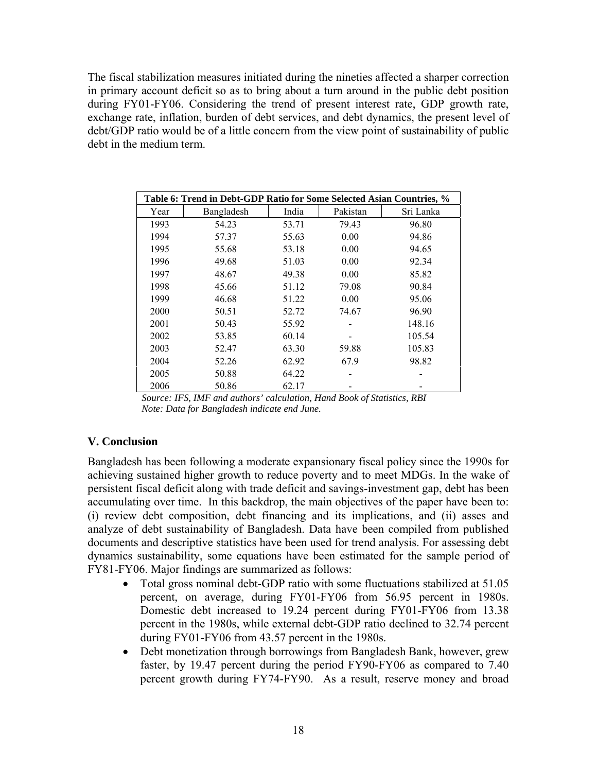The fiscal stabilization measures initiated during the nineties affected a sharper correction in primary account deficit so as to bring about a turn around in the public debt position during FY01-FY06. Considering the trend of present interest rate, GDP growth rate, exchange rate, inflation, burden of debt services, and debt dynamics, the present level of debt/GDP ratio would be of a little concern from the view point of sustainability of public debt in the medium term.

|      | Table 6: Trend in Debt-GDP Ratio for Some Selected Asian Countries, % |       |          |           |
|------|-----------------------------------------------------------------------|-------|----------|-----------|
| Year | Bangladesh                                                            | India | Pakistan | Sri Lanka |
| 1993 | 54.23                                                                 | 53.71 | 79.43    | 96.80     |
| 1994 | 57.37                                                                 | 55.63 | 0.00     | 94.86     |
| 1995 | 55.68                                                                 | 53.18 | 0.00     | 94.65     |
| 1996 | 49.68                                                                 | 51.03 | 0.00     | 92.34     |
| 1997 | 48.67                                                                 | 49.38 | 0.00     | 85.82     |
| 1998 | 45.66                                                                 | 51.12 | 79.08    | 90.84     |
| 1999 | 46.68                                                                 | 51.22 | 0.00     | 95.06     |
| 2000 | 50.51                                                                 | 52.72 | 74.67    | 96.90     |
| 2001 | 50.43                                                                 | 55.92 |          | 148.16    |
| 2002 | 53.85                                                                 | 60.14 |          | 105.54    |
| 2003 | 52.47                                                                 | 63.30 | 59.88    | 105.83    |
| 2004 | 52.26                                                                 | 62.92 | 67.9     | 98.82     |
| 2005 | 50.88                                                                 | 64.22 |          |           |
| 2006 | 50.86                                                                 | 62.17 |          |           |

*Source: IFS, IMF and authors' calculation, Hand Book of Statistics, RBI Note: Data for Bangladesh indicate end June.* 

### **V. Conclusion**

Bangladesh has been following a moderate expansionary fiscal policy since the 1990s for achieving sustained higher growth to reduce poverty and to meet MDGs. In the wake of persistent fiscal deficit along with trade deficit and savings-investment gap, debt has been accumulating over time. In this backdrop, the main objectives of the paper have been to: (i) review debt composition, debt financing and its implications, and (ii) asses and analyze of debt sustainability of Bangladesh. Data have been compiled from published documents and descriptive statistics have been used for trend analysis. For assessing debt dynamics sustainability, some equations have been estimated for the sample period of FY81-FY06. Major findings are summarized as follows:

- Total gross nominal debt-GDP ratio with some fluctuations stabilized at 51.05 percent, on average, during FY01-FY06 from 56.95 percent in 1980s. Domestic debt increased to 19.24 percent during FY01-FY06 from 13.38 percent in the 1980s, while external debt-GDP ratio declined to 32.74 percent during FY01-FY06 from 43.57 percent in the 1980s.
- Debt monetization through borrowings from Bangladesh Bank, however, grew faster, by 19.47 percent during the period FY90-FY06 as compared to 7.40 percent growth during FY74-FY90. As a result, reserve money and broad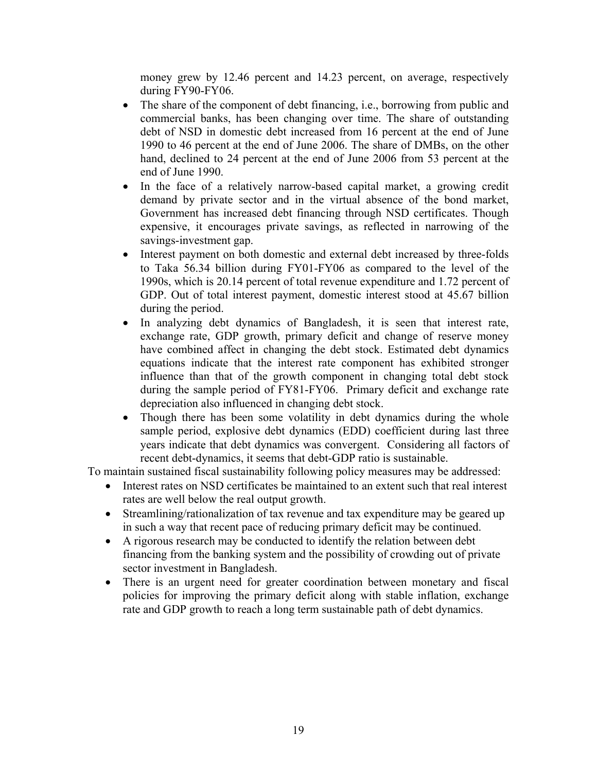money grew by 12.46 percent and 14.23 percent, on average, respectively during FY90-FY06.

- The share of the component of debt financing, i.e., borrowing from public and commercial banks, has been changing over time. The share of outstanding debt of NSD in domestic debt increased from 16 percent at the end of June 1990 to 46 percent at the end of June 2006. The share of DMBs, on the other hand, declined to 24 percent at the end of June 2006 from 53 percent at the end of June 1990.
- In the face of a relatively narrow-based capital market, a growing credit demand by private sector and in the virtual absence of the bond market, Government has increased debt financing through NSD certificates. Though expensive, it encourages private savings, as reflected in narrowing of the savings-investment gap.
- Interest payment on both domestic and external debt increased by three-folds to Taka 56.34 billion during FY01-FY06 as compared to the level of the 1990s, which is 20.14 percent of total revenue expenditure and 1.72 percent of GDP. Out of total interest payment, domestic interest stood at 45.67 billion during the period.
- In analyzing debt dynamics of Bangladesh, it is seen that interest rate, exchange rate, GDP growth, primary deficit and change of reserve money have combined affect in changing the debt stock. Estimated debt dynamics equations indicate that the interest rate component has exhibited stronger influence than that of the growth component in changing total debt stock during the sample period of FY81-FY06. Primary deficit and exchange rate depreciation also influenced in changing debt stock.
- Though there has been some volatility in debt dynamics during the whole sample period, explosive debt dynamics (EDD) coefficient during last three years indicate that debt dynamics was convergent. Considering all factors of recent debt-dynamics, it seems that debt-GDP ratio is sustainable.

To maintain sustained fiscal sustainability following policy measures may be addressed:

- Interest rates on NSD certificates be maintained to an extent such that real interest rates are well below the real output growth.
- Streamlining/rationalization of tax revenue and tax expenditure may be geared up in such a way that recent pace of reducing primary deficit may be continued.
- A rigorous research may be conducted to identify the relation between debt financing from the banking system and the possibility of crowding out of private sector investment in Bangladesh.
- There is an urgent need for greater coordination between monetary and fiscal policies for improving the primary deficit along with stable inflation, exchange rate and GDP growth to reach a long term sustainable path of debt dynamics.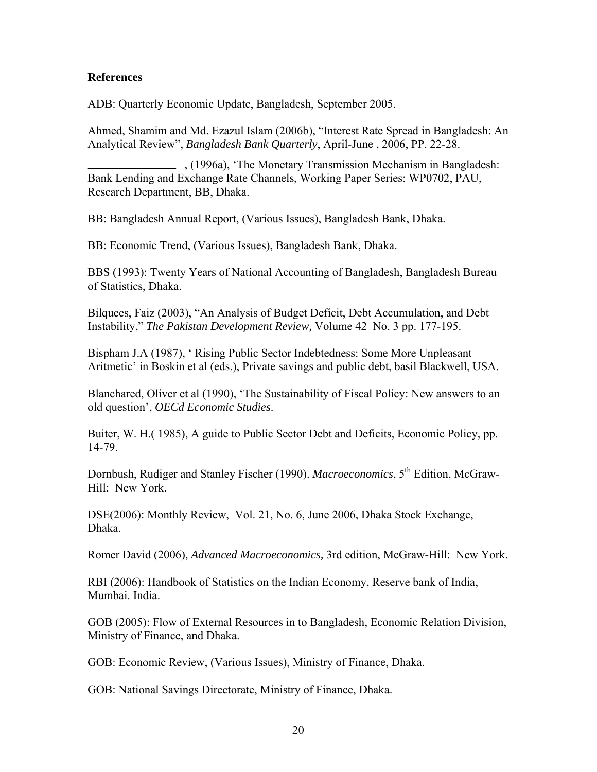#### **References**

ADB: Quarterly Economic Update, Bangladesh, September 2005.

Ahmed, Shamim and Md. Ezazul Islam (2006b), "Interest Rate Spread in Bangladesh: An Analytical Review", *Bangladesh Bank Quarterly*, April-June , 2006, PP. 22-28.

, (1996a), 'The Monetary Transmission Mechanism in Bangladesh: Bank Lending and Exchange Rate Channels, Working Paper Series: WP0702, PAU, Research Department, BB, Dhaka.

BB: Bangladesh Annual Report, (Various Issues), Bangladesh Bank, Dhaka.

BB: Economic Trend, (Various Issues), Bangladesh Bank, Dhaka.

BBS (1993): Twenty Years of National Accounting of Bangladesh, Bangladesh Bureau of Statistics, Dhaka.

Bilquees, Faiz (2003), "An Analysis of Budget Deficit, Debt Accumulation, and Debt Instability," *The Pakistan Development Review,* Volume 42 No. 3 pp. 177-195.

Bispham J.A (1987), ' Rising Public Sector Indebtedness: Some More Unpleasant Aritmetic' in Boskin et al (eds.), Private savings and public debt, basil Blackwell, USA.

Blanchared, Oliver et al (1990), 'The Sustainability of Fiscal Policy: New answers to an old question', *OECd Economic Studies*.

Buiter, W. H.( 1985), A guide to Public Sector Debt and Deficits, Economic Policy, pp. 14-79.

Dornbush, Rudiger and Stanley Fischer (1990). *Macroeconomics*, 5<sup>th</sup> Edition, McGraw-Hill: New York.

DSE(2006): Monthly Review, Vol. 21, No. 6, June 2006, Dhaka Stock Exchange, Dhaka.

Romer David (2006), *Advanced Macroeconomics,* 3rd edition, McGraw-Hill: New York.

RBI (2006): Handbook of Statistics on the Indian Economy, Reserve bank of India, Mumbai. India.

GOB (2005): Flow of External Resources in to Bangladesh, Economic Relation Division, Ministry of Finance, and Dhaka.

GOB: Economic Review, (Various Issues), Ministry of Finance, Dhaka.

GOB: National Savings Directorate, Ministry of Finance, Dhaka.